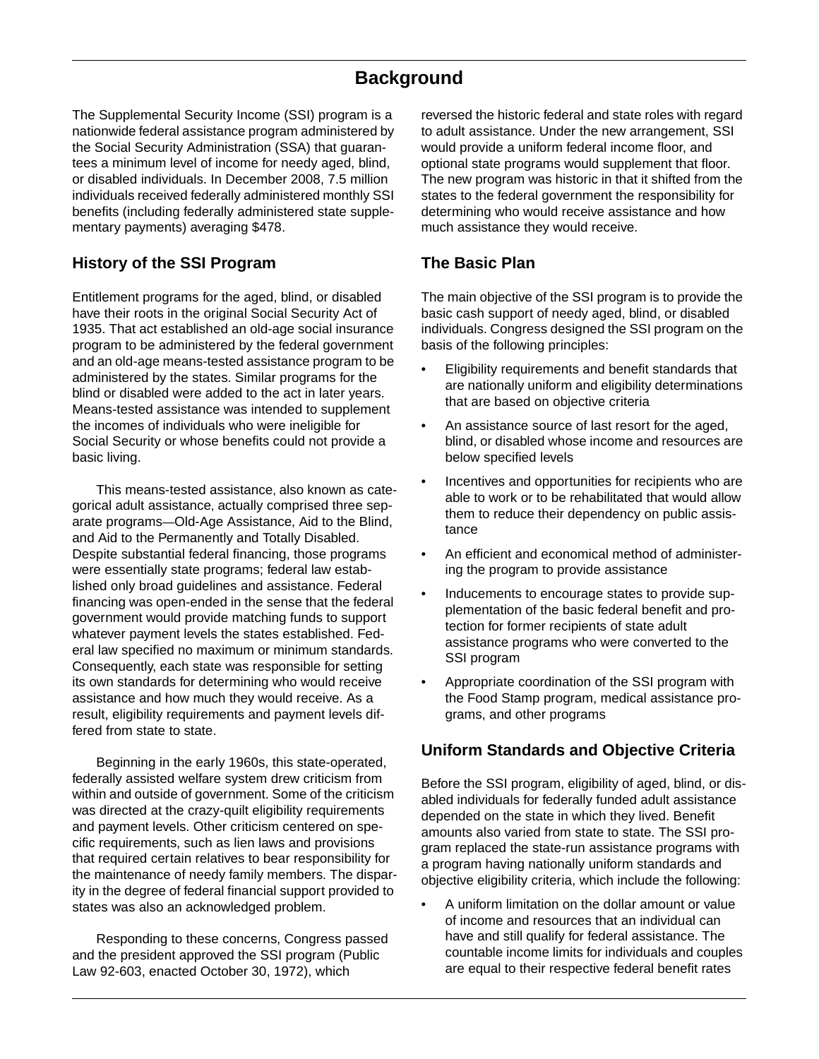# **Background**

The Supplemental Security Income (SSI) program is a nationwide federal assistance program administered by the Social Security Administration (SSA) that guarantees a minimum level of income for needy aged, blind, or disabled individuals. In December 2008, 7.5 million individuals received federally administered monthly SSI benefits (including federally administered state supplementary payments) averaging \$478.

# **History of the SSI Program**

Entitlement programs for the aged, blind, or disabled have their roots in the original Social Security Act of 1935. That act established an old-age social insurance program to be administered by the federal government and an old-age means-tested assistance program to be administered by the states. Similar programs for the blind or disabled were added to the act in later years. Means-tested assistance was intended to supplement the incomes of individuals who were ineligible for Social Security or whose benefits could not provide a basic living.

This means-tested assistance, also known as categorical adult assistance, actually comprised three separate programs—Old-Age Assistance, Aid to the Blind, and Aid to the Permanently and Totally Disabled. Despite substantial federal financing, those programs were essentially state programs; federal law established only broad guidelines and assistance. Federal financing was open-ended in the sense that the federal government would provide matching funds to support whatever payment levels the states established. Federal law specified no maximum or minimum standards. Consequently, each state was responsible for setting its own standards for determining who would receive assistance and how much they would receive. As a result, eligibility requirements and payment levels differed from state to state.

Beginning in the early 1960s, this state-operated, federally assisted welfare system drew criticism from within and outside of government. Some of the criticism was directed at the crazy-quilt eligibility requirements and payment levels. Other criticism centered on specific requirements, such as lien laws and provisions that required certain relatives to bear responsibility for the maintenance of needy family members. The disparity in the degree of federal financial support provided to states was also an acknowledged problem.

Responding to these concerns, Congress passed and the president approved the SSI program (Public Law 92-603, enacted October 30, 1972), which

reversed the historic federal and state roles with regard to adult assistance. Under the new arrangement, SSI would provide a uniform federal income floor, and optional state programs would supplement that floor. The new program was historic in that it shifted from the states to the federal government the responsibility for determining who would receive assistance and how much assistance they would receive.

# **The Basic Plan**

The main objective of the SSI program is to provide the basic cash support of needy aged, blind, or disabled individuals. Congress designed the SSI program on the basis of the following principles:

- Eligibility requirements and benefit standards that are nationally uniform and eligibility determinations that are based on objective criteria
- An assistance source of last resort for the aged, blind, or disabled whose income and resources are below specified levels
- Incentives and opportunities for recipients who are able to work or to be rehabilitated that would allow them to reduce their dependency on public assistance
- An efficient and economical method of administering the program to provide assistance
- Inducements to encourage states to provide supplementation of the basic federal benefit and protection for former recipients of state adult assistance programs who were converted to the SSI program
- Appropriate coordination of the SSI program with the Food Stamp program, medical assistance programs, and other programs

# **Uniform Standards and Objective Criteria**

Before the SSI program, eligibility of aged, blind, or disabled individuals for federally funded adult assistance depended on the state in which they lived. Benefit amounts also varied from state to state. The SSI program replaced the state-run assistance programs with a program having nationally uniform standards and objective eligibility criteria, which include the following:

• A uniform limitation on the dollar amount or value of income and resources that an individual can have and still qualify for federal assistance. The countable income limits for individuals and couples are equal to their respective federal benefit rates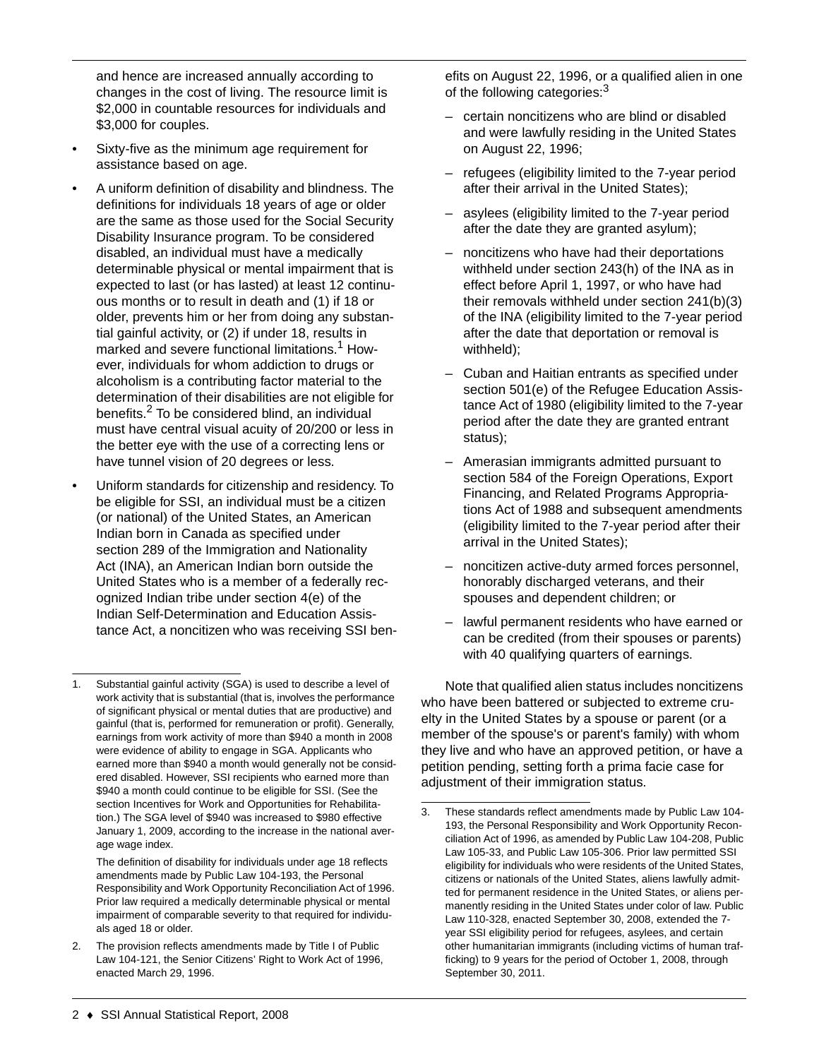and hence are increased annually according to changes in the cost of living. The resource limit is \$2,000 in countable resources for individuals and \$3,000 for couples.

- Sixty-five as the minimum age requirement for assistance based on age.
- A uniform definition of disability and blindness. The definitions for individuals 18 years of age or older are the same as those used for the Social Security Disability Insurance program. To be considered disabled, an individual must have a medically determinable physical or mental impairment that is expected to last (or has lasted) at least 12 continuous months or to result in death and (1) if 18 or older, prevents him or her from doing any substantial gainful activity, or (2) if under 18, results in marked and severe functional limitations.<sup>1</sup> However, individuals for whom addiction to drugs or alcoholism is a contributing factor material to the determination of their disabilities are not eligible for benefits.2 To be considered blind, an individual must have central visual acuity of 20/200 or less in the better eye with the use of a correcting lens or have tunnel vision of 20 degrees or less.
- Uniform standards for citizenship and residency. To be eligible for SSI, an individual must be a citizen (or national) of the United States, an American Indian born in Canada as specified under section 289 of the Immigration and Nationality Act (INA), an American Indian born outside the United States who is a member of a federally recognized Indian tribe under section 4(e) of the Indian Self-Determination and Education Assistance Act, a noncitizen who was receiving SSI ben-

efits on August 22, 1996, or a qualified alien in one of the following categories:<sup>3</sup>

- certain noncitizens who are blind or disabled and were lawfully residing in the United States on August 22, 1996;
- refugees (eligibility limited to the 7-year period after their arrival in the United States);
- asylees (eligibility limited to the 7-year period after the date they are granted asylum);
- noncitizens who have had their deportations withheld under section 243(h) of the INA as in effect before April 1, 1997, or who have had their removals withheld under section 241(b)(3) of the INA (eligibility limited to the 7-year period after the date that deportation or removal is withheld);
- Cuban and Haitian entrants as specified under section 501(e) of the Refugee Education Assistance Act of 1980 (eligibility limited to the 7-year period after the date they are granted entrant status);
- Amerasian immigrants admitted pursuant to section 584 of the Foreign Operations, Export Financing, and Related Programs Appropriations Act of 1988 and subsequent amendments (eligibility limited to the 7-year period after their arrival in the United States);
- noncitizen active-duty armed forces personnel, honorably discharged veterans, and their spouses and dependent children; or
- lawful permanent residents who have earned or can be credited (from their spouses or parents) with 40 qualifying quarters of earnings.

Note that qualified alien status includes noncitizens who have been battered or subjected to extreme cruelty in the United States by a spouse or parent (or a member of the spouse's or parent's family) with whom they live and who have an approved petition, or have a petition pending, setting forth a prima facie case for adjustment of their immigration status.

Substantial gainful activity (SGA) is used to describe a level of work activity that is substantial (that is, involves the performance of significant physical or mental duties that are productive) and gainful (that is, performed for remuneration or profit). Generally, earnings from work activity of more than \$940 a month in 2008 were evidence of ability to engage in SGA. Applicants who earned more than \$940 a month would generally not be considered disabled. However, SSI recipients who earned more than \$940 a month could continue to be eligible for SSI. (See the section Incentives for Work and Opportunities for Rehabilitation.) The SGA level of \$940 was increased to \$980 effective January 1, 2009, according to the increase in the national average wage index.

The definition of disability for individuals under age 18 reflects amendments made by Public Law 104-193, the Personal Responsibility and Work Opportunity Reconciliation Act of 1996. Prior law required a medically determinable physical or mental impairment of comparable severity to that required for individuals aged 18 or older.

<sup>2.</sup> The provision reflects amendments made by Title I of Public Law 104-121, the Senior Citizens' Right to Work Act of 1996, enacted March 29, 1996.

<sup>3.</sup> These standards reflect amendments made by Public Law 104- 193, the Personal Responsibility and Work Opportunity Reconciliation Act of 1996, as amended by Public Law 104-208, Public Law 105-33, and Public Law 105-306. Prior law permitted SSI eligibility for individuals who were residents of the United States, citizens or nationals of the United States, aliens lawfully admitted for permanent residence in the United States, or aliens permanently residing in the United States under color of law. Public Law 110-328, enacted September 30, 2008, extended the 7 year SSI eligibility period for refugees, asylees, and certain other humanitarian immigrants (including victims of human trafficking) to 9 years for the period of October 1, 2008, through September 30, 2011.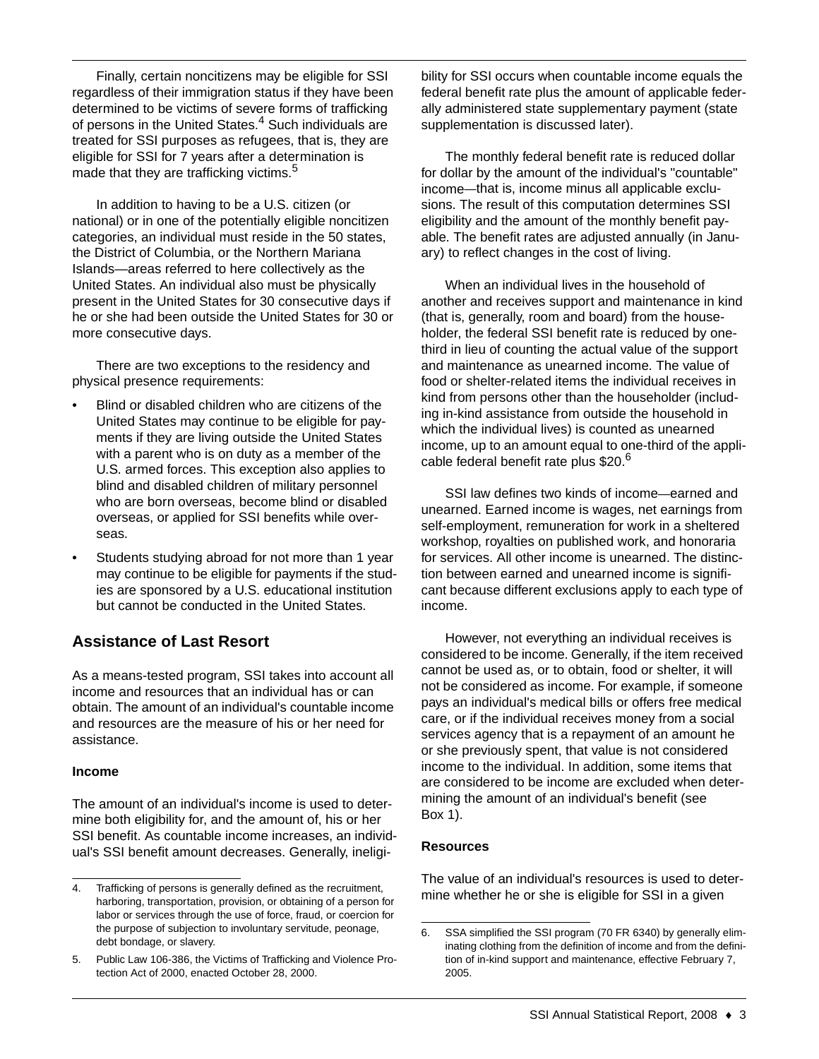Finally, certain noncitizens may be eligible for SSI regardless of their immigration status if they have been determined to be victims of severe forms of trafficking of persons in the United States.<sup>4</sup> Such individuals are treated for SSI purposes as refugees, that is, they are eligible for SSI for 7 years after a determination is made that they are trafficking victims.<sup>5</sup>

In addition to having to be a U.S. citizen (or national) or in one of the potentially eligible noncitizen categories, an individual must reside in the 50 states, the District of Columbia, or the Northern Mariana Islands—areas referred to here collectively as the United States. An individual also must be physically present in the United States for 30 consecutive days if he or she had been outside the United States for 30 or more consecutive days.

There are two exceptions to the residency and physical presence requirements:

- Blind or disabled children who are citizens of the United States may continue to be eligible for payments if they are living outside the United States with a parent who is on duty as a member of the U.S. armed forces. This exception also applies to blind and disabled children of military personnel who are born overseas, become blind or disabled overseas, or applied for SSI benefits while overseas.
- Students studying abroad for not more than 1 year may continue to be eligible for payments if the studies are sponsored by a U.S. educational institution but cannot be conducted in the United States.

# **Assistance of Last Resort**

As a means-tested program, SSI takes into account all income and resources that an individual has or can obtain. The amount of an individual's countable income and resources are the measure of his or her need for assistance.

#### **Income**

The amount of an individual's income is used to determine both eligibility for, and the amount of, his or her SSI benefit. As countable income increases, an individual's SSI benefit amount decreases. Generally, ineligibility for SSI occurs when countable income equals the federal benefit rate plus the amount of applicable federally administered state supplementary payment (state supplementation is discussed later).

The monthly federal benefit rate is reduced dollar for dollar by the amount of the individual's "countable" income—that is, income minus all applicable exclusions. The result of this computation determines SSI eligibility and the amount of the monthly benefit payable. The benefit rates are adjusted annually (in January) to reflect changes in the cost of living.

When an individual lives in the household of another and receives support and maintenance in kind (that is, generally, room and board) from the householder, the federal SSI benefit rate is reduced by onethird in lieu of counting the actual value of the support and maintenance as unearned income. The value of food or shelter-related items the individual receives in kind from persons other than the householder (including in-kind assistance from outside the household in which the individual lives) is counted as unearned income, up to an amount equal to one-third of the applicable federal benefit rate plus \$20.<sup>6</sup>

SSI law defines two kinds of income—earned and unearned. Earned income is wages, net earnings from self-employment, remuneration for work in a sheltered workshop, royalties on published work, and honoraria for services. All other income is unearned. The distinction between earned and unearned income is significant because different exclusions apply to each type of income.

However, not everything an individual receives is considered to be income. Generally, if the item received cannot be used as, or to obtain, food or shelter, it will not be considered as income. For example, if someone pays an individual's medical bills or offers free medical care, or if the individual receives money from a social services agency that is a repayment of an amount he or she previously spent, that value is not considered income to the individual. In addition, some items that are considered to be income are excluded when determining the amount of an individual's benefit (see Box 1).

### **Resources**

The value of an individual's resources is used to deter-

<sup>4.</sup> Trafficking of persons is generally defined as the recruitment,<br>herbeing transportation provision or obtaining of a person for mine whether he or she is eligible for SSI in a given harboring, transportation, provision, or obtaining of a person for labor or services through the use of force, fraud, or coercion for the purpose of subjection to involuntary servitude, peonage, debt bondage, or slavery.

<sup>5.</sup> Public Law 106-386, the Victims of Trafficking and Violence Protection Act of 2000, enacted October 28, 2000.

<sup>6.</sup> SSA simplified the SSI program (70 FR 6340) by generally eliminating clothing from the definition of income and from the definition of in-kind support and maintenance, effective February 7, 2005.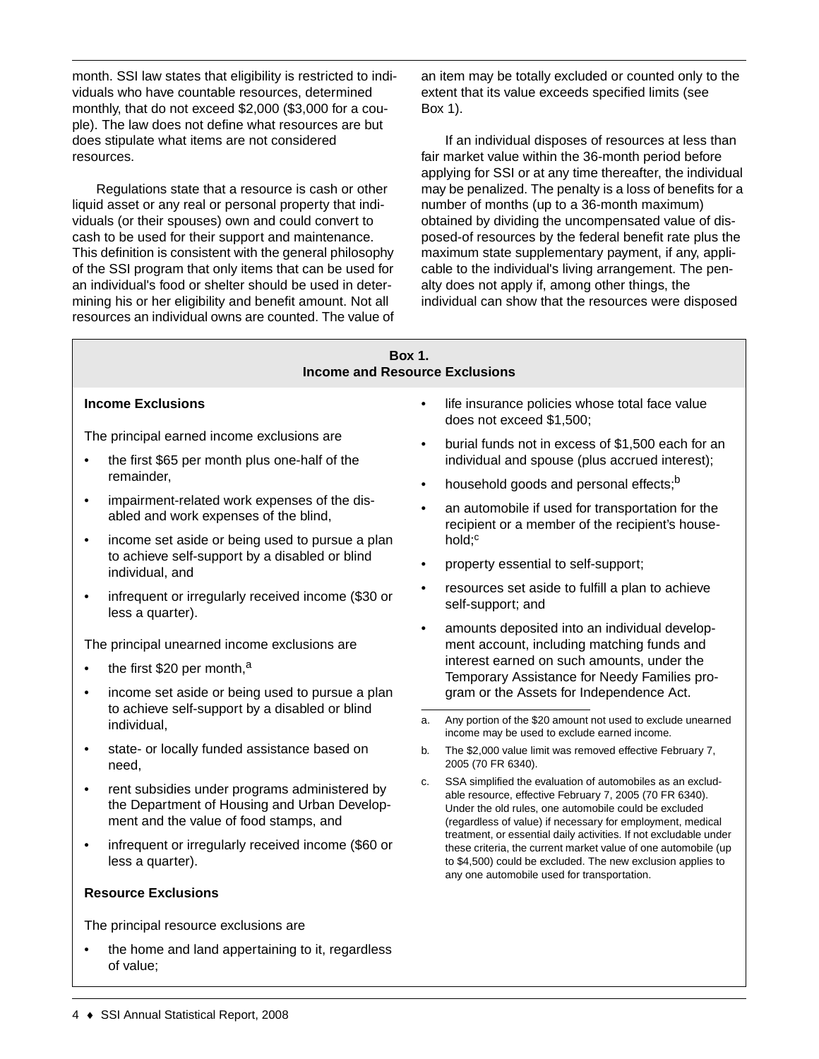month. SSI law states that eligibility is restricted to individuals who have countable resources, determined monthly, that do not exceed \$2,000 (\$3,000 for a couple). The law does not define what resources are but does stipulate what items are not considered resources.

Regulations state that a resource is cash or other liquid asset or any real or personal property that individuals (or their spouses) own and could convert to cash to be used for their support and maintenance. This definition is consistent with the general philosophy of the SSI program that only items that can be used for an individual's food or shelter should be used in determining his or her eligibility and benefit amount. Not all resources an individual owns are counted. The value of an item may be totally excluded or counted only to the extent that its value exceeds specified limits (see Box 1).

If an individual disposes of resources at less than fair market value within the 36-month period before applying for SSI or at any time thereafter, the individual may be penalized. The penalty is a loss of benefits for a number of months (up to a 36-month maximum) obtained by dividing the uncompensated value of disposed-of resources by the federal benefit rate plus the maximum state supplementary payment, if any, applicable to the individual's living arrangement. The penalty does not apply if, among other things, the individual can show that the resources were disposed

#### **Box 1. Income and Resource Exclusions**

#### **Income Exclusions**

The principal earned income exclusions are

- the first \$65 per month plus one-half of the remainder,
- impairment-related work expenses of the disabled and work expenses of the blind,
- income set aside or being used to pursue a plan to achieve self-support by a disabled or blind individual, and
- infrequent or irregularly received income (\$30 or less a quarter).

The principal unearned income exclusions are

- the first \$20 per month,<sup>a</sup>
- income set aside or being used to pursue a plan to achieve self-support by a disabled or blind individual,
- state- or locally funded assistance based on need,
- rent subsidies under programs administered by the Department of Housing and Urban Development and the value of food stamps, and
- infrequent or irregularly received income (\$60 or less a quarter).

### **Resource Exclusions**

The principal resource exclusions are

the home and land appertaining to it, regardless of value;

- life insurance policies whose total face value does not exceed \$1,500;
- burial funds not in excess of \$1,500 each for an individual and spouse (plus accrued interest);
- household goods and personal effects;<sup>b</sup>
- an automobile if used for transportation for the recipient or a member of the recipient's household: $c$
- property essential to self-support;
- resources set aside to fulfill a plan to achieve self-support; and
- amounts deposited into an individual development account, including matching funds and interest earned on such amounts, under the Temporary Assistance for Needy Families program or the Assets for Independence Act.
- a. Any portion of the \$20 amount not used to exclude unearned income may be used to exclude earned income.
- b. The \$2,000 value limit was removed effective February 7, 2005 (70 FR 6340).
- c. SSA simplified the evaluation of automobiles as an excludable resource, effective February 7, 2005 (70 FR 6340). Under the old rules, one automobile could be excluded (regardless of value) if necessary for employment, medical treatment, or essential daily activities. If not excludable under these criteria, the current market value of one automobile (up to \$4,500) could be excluded. The new exclusion applies to any one automobile used for transportation.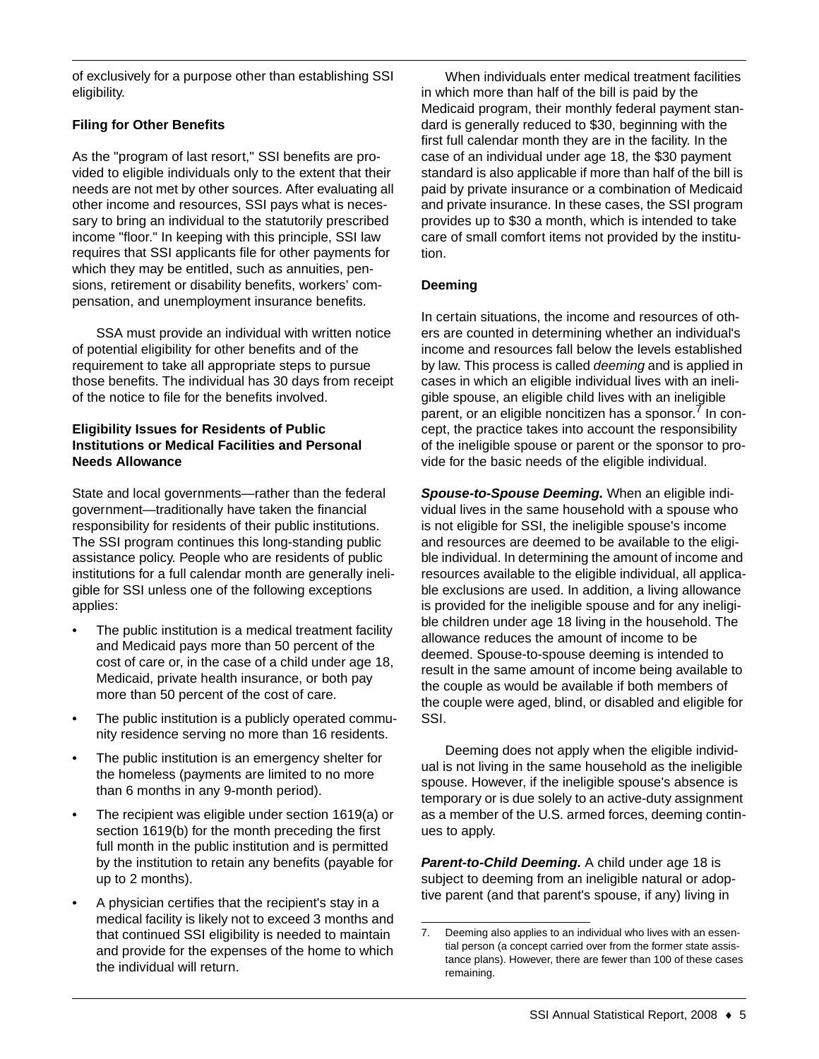of exclusively for a purpose other than establishing SSI eligibility.

## **Filing for Other Benefits**

As the "program of last resort," SSI benefits are provided to eligible individuals only to the extent that their needs are not met by other sources. After evaluating all other income and resources, SSI pays what is necessary to bring an individual to the statutorily prescribed income "floor." In keeping with this principle, SSI law requires that SSI applicants file for other payments for which they may be entitled, such as annuities, pensions, retirement or disability benefits, workers' compensation, and unemployment insurance benefits.

SSA must provide an individual with written notice of potential eligibility for other benefits and of the requirement to take all appropriate steps to pursue those benefits. The individual has 30 days from receipt of the notice to file for the benefits involved.

#### **Eligibility Issues for Residents of Public Institutions or Medical Facilities and Personal Needs Allowance**

State and local governments—rather than the federal government—traditionally have taken the financial responsibility for residents of their public institutions. The SSI program continues this long-standing public assistance policy. People who are residents of public institutions for a full calendar month are generally ineligible for SSI unless one of the following exceptions applies:

- The public institution is a medical treatment facility and Medicaid pays more than 50 percent of the cost of care or, in the case of a child under age 18, Medicaid, private health insurance, or both pay more than 50 percent of the cost of care.
- The public institution is a publicly operated community residence serving no more than 16 residents.
- The public institution is an emergency shelter for the homeless (payments are limited to no more than 6 months in any 9-month period).
- The recipient was eligible under section 1619(a) or section 1619(b) for the month preceding the first full month in the public institution and is permitted by the institution to retain any benefits (payable for up to 2 months).
- A physician certifies that the recipient's stay in a medical facility is likely not to exceed 3 months and that continued SSI eligibility is needed to maintain and provide for the expenses of the home to which the individual will return.

When individuals enter medical treatment facilities in which more than half of the bill is paid by the Medicaid program, their monthly federal payment standard is generally reduced to \$30, beginning with the first full calendar month they are in the facility. In the case of an individual under age 18, the \$30 payment standard is also applicable if more than half of the bill is paid by private insurance or a combination of Medicaid and private insurance. In these cases, the SSI program provides up to \$30 a month, which is intended to take care of small comfort items not provided by the institution.

### **Deeming**

In certain situations, the income and resources of others are counted in determining whether an individual's income and resources fall below the levels established by law. This process is called *deeming* and is applied in cases in which an eligible individual lives with an ineligible spouse, an eligible child lives with an ineligible parent, or an eligible noncitizen has a sponsor.<sup>7</sup> In concept, the practice takes into account the responsibility of the ineligible spouse or parent or the sponsor to provide for the basic needs of the eligible individual.

*Spouse-to-Spouse Deeming.* When an eligible individual lives in the same household with a spouse who is not eligible for SSI, the ineligible spouse's income and resources are deemed to be available to the eligible individual. In determining the amount of income and resources available to the eligible individual, all applicable exclusions are used. In addition, a living allowance is provided for the ineligible spouse and for any ineligible children under age 18 living in the household. The allowance reduces the amount of income to be deemed. Spouse-to-spouse deeming is intended to result in the same amount of income being available to the couple as would be available if both members of the couple were aged, blind, or disabled and eligible for SSI.

Deeming does not apply when the eligible individual is not living in the same household as the ineligible spouse. However, if the ineligible spouse's absence is temporary or is due solely to an active-duty assignment as a member of the U.S. armed forces, deeming continues to apply.

*Parent-to-Child Deeming.* A child under age 18 is subject to deeming from an ineligible natural or adoptive parent (and that parent's spouse, if any) living in

<sup>7.</sup> Deeming also applies to an individual who lives with an essential person (a concept carried over from the former state assistance plans). However, there are fewer than 100 of these cases remaining.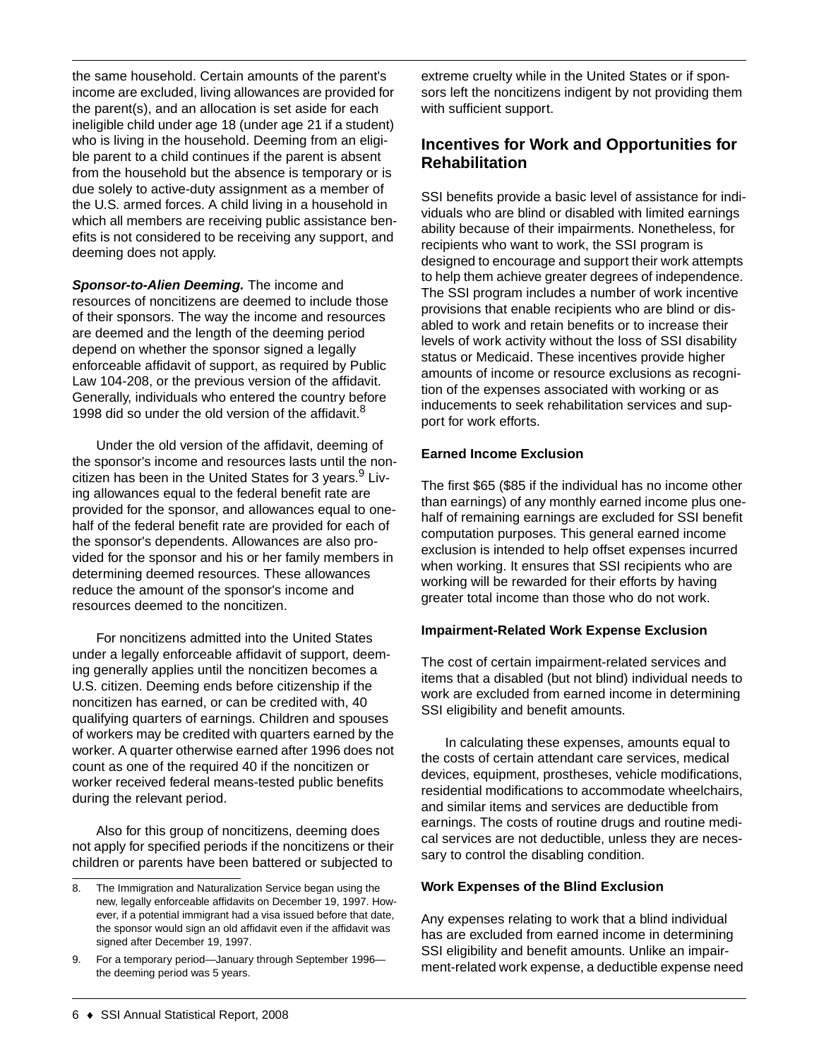the same household. Certain amounts of the parent's income are excluded, living allowances are provided for the parent(s), and an allocation is set aside for each ineligible child under age 18 (under age 21 if a student) who is living in the household. Deeming from an eligible parent to a child continues if the parent is absent from the household but the absence is temporary or is due solely to active-duty assignment as a member of the U.S. armed forces. A child living in a household in which all members are receiving public assistance benefits is not considered to be receiving any support, and deeming does not apply.

*Sponsor-to-Alien Deeming.* The income and resources of noncitizens are deemed to include those of their sponsors. The way the income and resources are deemed and the length of the deeming period depend on whether the sponsor signed a legally enforceable affidavit of support, as required by Public Law 104-208, or the previous version of the affidavit. Generally, individuals who entered the country before 1998 did so under the old version of the affidavit.<sup>8</sup>

Under the old version of the affidavit, deeming of the sponsor's income and resources lasts until the noncitizen has been in the United States for 3 years.<sup>9</sup> Living allowances equal to the federal benefit rate are provided for the sponsor, and allowances equal to onehalf of the federal benefit rate are provided for each of the sponsor's dependents. Allowances are also provided for the sponsor and his or her family members in determining deemed resources. These allowances reduce the amount of the sponsor's income and resources deemed to the noncitizen.

For noncitizens admitted into the United States under a legally enforceable affidavit of support, deeming generally applies until the noncitizen becomes a U.S. citizen. Deeming ends before citizenship if the noncitizen has earned, or can be credited with, 40 qualifying quarters of earnings. Children and spouses of workers may be credited with quarters earned by the worker. A quarter otherwise earned after 1996 does not count as one of the required 40 if the noncitizen or worker received federal means-tested public benefits during the relevant period.

Also for this group of noncitizens, deeming does not apply for specified periods if the noncitizens or their children or parents have been battered or subjected to

extreme cruelty while in the United States or if sponsors left the noncitizens indigent by not providing them with sufficient support.

# **Incentives for Work and Opportunities for Rehabilitation**

SSI benefits provide a basic level of assistance for individuals who are blind or disabled with limited earnings ability because of their impairments. Nonetheless, for recipients who want to work, the SSI program is designed to encourage and support their work attempts to help them achieve greater degrees of independence. The SSI program includes a number of work incentive provisions that enable recipients who are blind or disabled to work and retain benefits or to increase their levels of work activity without the loss of SSI disability status or Medicaid. These incentives provide higher amounts of income or resource exclusions as recognition of the expenses associated with working or as inducements to seek rehabilitation services and support for work efforts.

### **Earned Income Exclusion**

The first \$65 (\$85 if the individual has no income other than earnings) of any monthly earned income plus onehalf of remaining earnings are excluded for SSI benefit computation purposes. This general earned income exclusion is intended to help offset expenses incurred when working. It ensures that SSI recipients who are working will be rewarded for their efforts by having greater total income than those who do not work.

### **Impairment-Related Work Expense Exclusion**

The cost of certain impairment-related services and items that a disabled (but not blind) individual needs to work are excluded from earned income in determining SSI eligibility and benefit amounts.

In calculating these expenses, amounts equal to the costs of certain attendant care services, medical devices, equipment, prostheses, vehicle modifications, residential modifications to accommodate wheelchairs, and similar items and services are deductible from earnings. The costs of routine drugs and routine medical services are not deductible, unless they are necessary to control the disabling condition.

### **Work Expenses of the Blind Exclusion**

Any expenses relating to work that a blind individual has are excluded from earned income in determining SSI eligibility and benefit amounts. Unlike an impairment-related work expense, a deductible expense need

<sup>8.</sup> The Immigration and Naturalization Service began using the new, legally enforceable affidavits on December 19, 1997. However, if a potential immigrant had a visa issued before that date, the sponsor would sign an old affidavit even if the affidavit was signed after December 19, 1997.

<sup>9.</sup> For a temporary period—January through September 1996 the deeming period was 5 years.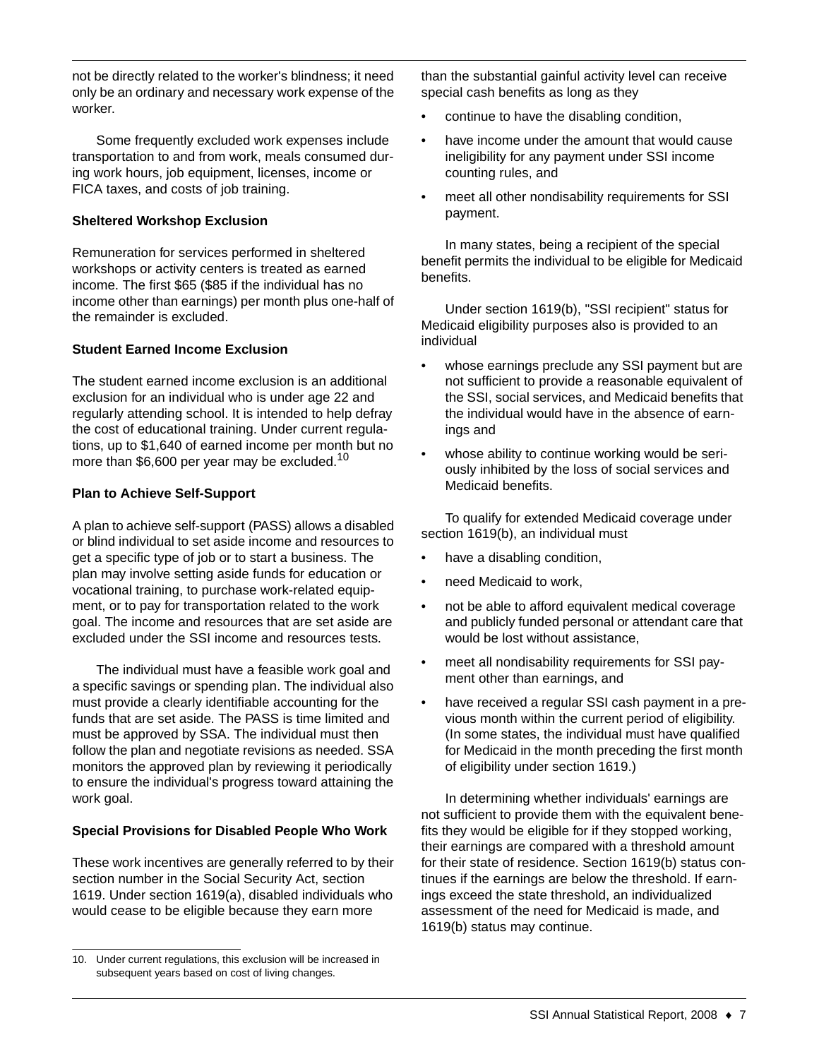not be directly related to the worker's blindness; it need only be an ordinary and necessary work expense of the worker.

Some frequently excluded work expenses include transportation to and from work, meals consumed during work hours, job equipment, licenses, income or FICA taxes, and costs of job training.

### **Sheltered Workshop Exclusion**

Remuneration for services performed in sheltered workshops or activity centers is treated as earned income. The first \$65 (\$85 if the individual has no income other than earnings) per month plus one-half of the remainder is excluded.

### **Student Earned Income Exclusion**

The student earned income exclusion is an additional exclusion for an individual who is under age 22 and regularly attending school. It is intended to help defray the cost of educational training. Under current regulations, up to \$1,640 of earned income per month but no more than \$6,600 per year may be excluded.<sup>10</sup>

### **Plan to Achieve Self-Support**

A plan to achieve self-support (PASS) allows a disabled or blind individual to set aside income and resources to get a specific type of job or to start a business. The plan may involve setting aside funds for education or vocational training, to purchase work-related equipment, or to pay for transportation related to the work goal. The income and resources that are set aside are excluded under the SSI income and resources tests.

The individual must have a feasible work goal and a specific savings or spending plan. The individual also must provide a clearly identifiable accounting for the funds that are set aside. The PASS is time limited and must be approved by SSA. The individual must then follow the plan and negotiate revisions as needed. SSA monitors the approved plan by reviewing it periodically to ensure the individual's progress toward attaining the work goal.

# **Special Provisions for Disabled People Who Work**

These work incentives are generally referred to by their section number in the Social Security Act, section 1619. Under section 1619(a), disabled individuals who would cease to be eligible because they earn more

than the substantial gainful activity level can receive special cash benefits as long as they

- continue to have the disabling condition,
- have income under the amount that would cause ineligibility for any payment under SSI income counting rules, and
- meet all other nondisability requirements for SSI payment.

In many states, being a recipient of the special benefit permits the individual to be eligible for Medicaid benefits.

Under section 1619(b), "SSI recipient" status for Medicaid eligibility purposes also is provided to an individual

- whose earnings preclude any SSI payment but are not sufficient to provide a reasonable equivalent of the SSI, social services, and Medicaid benefits that the individual would have in the absence of earnings and
- whose ability to continue working would be seriously inhibited by the loss of social services and Medicaid benefits.

To qualify for extended Medicaid coverage under section 1619(b), an individual must

- have a disabling condition,
- need Medicaid to work,
- not be able to afford equivalent medical coverage and publicly funded personal or attendant care that would be lost without assistance,
- meet all nondisability requirements for SSI payment other than earnings, and
- have received a regular SSI cash payment in a previous month within the current period of eligibility. (In some states, the individual must have qualified for Medicaid in the month preceding the first month of eligibility under section 1619.)

In determining whether individuals' earnings are not sufficient to provide them with the equivalent benefits they would be eligible for if they stopped working, their earnings are compared with a threshold amount for their state of residence. Section 1619(b) status continues if the earnings are below the threshold. If earnings exceed the state threshold, an individualized assessment of the need for Medicaid is made, and 1619(b) status may continue.

<sup>10.</sup> Under current regulations, this exclusion will be increased in subsequent years based on cost of living changes.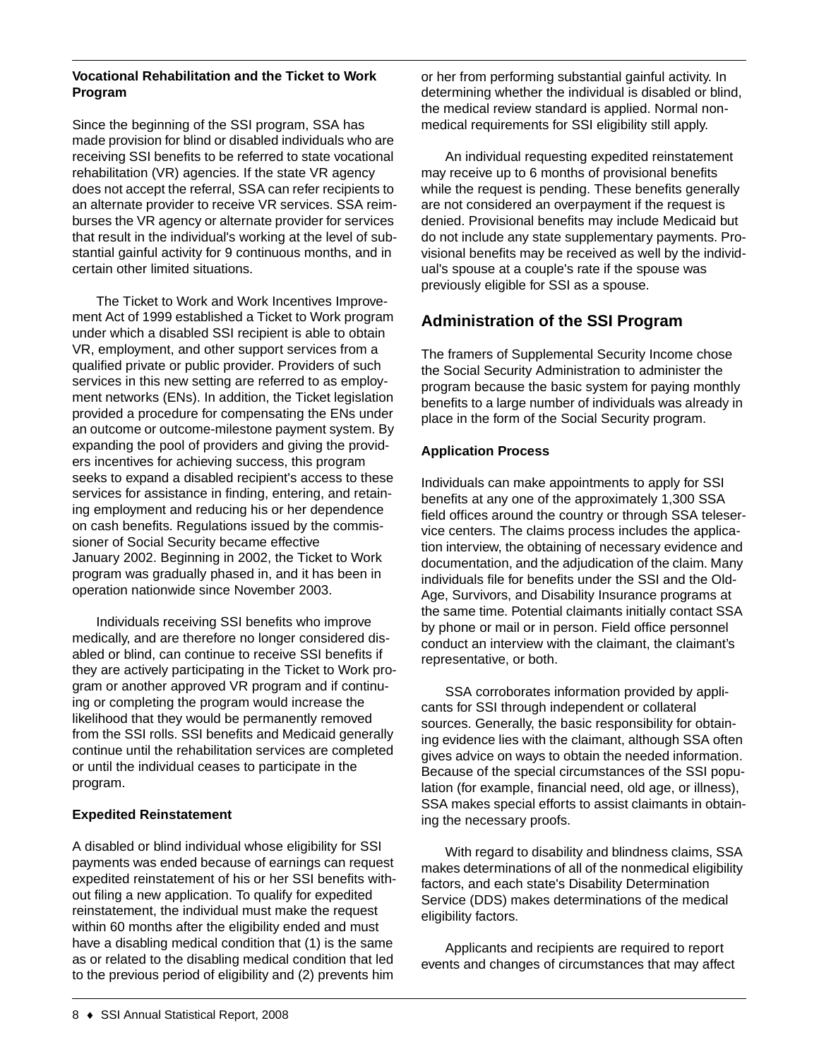### **Vocational Rehabilitation and the Ticket to Work Program**

Since the beginning of the SSI program, SSA has made provision for blind or disabled individuals who are receiving SSI benefits to be referred to state vocational rehabilitation (VR) agencies. If the state VR agency does not accept the referral, SSA can refer recipients to an alternate provider to receive VR services. SSA reimburses the VR agency or alternate provider for services that result in the individual's working at the level of substantial gainful activity for 9 continuous months, and in certain other limited situations.

The Ticket to Work and Work Incentives Improvement Act of 1999 established a Ticket to Work program under which a disabled SSI recipient is able to obtain VR, employment, and other support services from a qualified private or public provider. Providers of such services in this new setting are referred to as employment networks (ENs). In addition, the Ticket legislation provided a procedure for compensating the ENs under an outcome or outcome-milestone payment system. By expanding the pool of providers and giving the providers incentives for achieving success, this program seeks to expand a disabled recipient's access to these services for assistance in finding, entering, and retaining employment and reducing his or her dependence on cash benefits. Regulations issued by the commissioner of Social Security became effective January 2002. Beginning in 2002, the Ticket to Work program was gradually phased in, and it has been in operation nationwide since November 2003.

Individuals receiving SSI benefits who improve medically, and are therefore no longer considered disabled or blind, can continue to receive SSI benefits if they are actively participating in the Ticket to Work program or another approved VR program and if continuing or completing the program would increase the likelihood that they would be permanently removed from the SSI rolls. SSI benefits and Medicaid generally continue until the rehabilitation services are completed or until the individual ceases to participate in the program.

### **Expedited Reinstatement**

A disabled or blind individual whose eligibility for SSI payments was ended because of earnings can request expedited reinstatement of his or her SSI benefits without filing a new application. To qualify for expedited reinstatement, the individual must make the request within 60 months after the eligibility ended and must have a disabling medical condition that (1) is the same as or related to the disabling medical condition that led to the previous period of eligibility and (2) prevents him

or her from performing substantial gainful activity. In determining whether the individual is disabled or blind, the medical review standard is applied. Normal nonmedical requirements for SSI eligibility still apply.

An individual requesting expedited reinstatement may receive up to 6 months of provisional benefits while the request is pending. These benefits generally are not considered an overpayment if the request is denied. Provisional benefits may include Medicaid but do not include any state supplementary payments. Provisional benefits may be received as well by the individual's spouse at a couple's rate if the spouse was previously eligible for SSI as a spouse.

# **Administration of the SSI Program**

The framers of Supplemental Security Income chose the Social Security Administration to administer the program because the basic system for paying monthly benefits to a large number of individuals was already in place in the form of the Social Security program.

# **Application Process**

Individuals can make appointments to apply for SSI benefits at any one of the approximately 1,300 SSA field offices around the country or through SSA teleservice centers. The claims process includes the application interview, the obtaining of necessary evidence and documentation, and the adjudication of the claim. Many individuals file for benefits under the SSI and the Old-Age, Survivors, and Disability Insurance programs at the same time. Potential claimants initially contact SSA by phone or mail or in person. Field office personnel conduct an interview with the claimant, the claimant's representative, or both.

SSA corroborates information provided by applicants for SSI through independent or collateral sources. Generally, the basic responsibility for obtaining evidence lies with the claimant, although SSA often gives advice on ways to obtain the needed information. Because of the special circumstances of the SSI population (for example, financial need, old age, or illness), SSA makes special efforts to assist claimants in obtaining the necessary proofs.

With regard to disability and blindness claims, SSA makes determinations of all of the nonmedical eligibility factors, and each state's Disability Determination Service (DDS) makes determinations of the medical eligibility factors.

Applicants and recipients are required to report events and changes of circumstances that may affect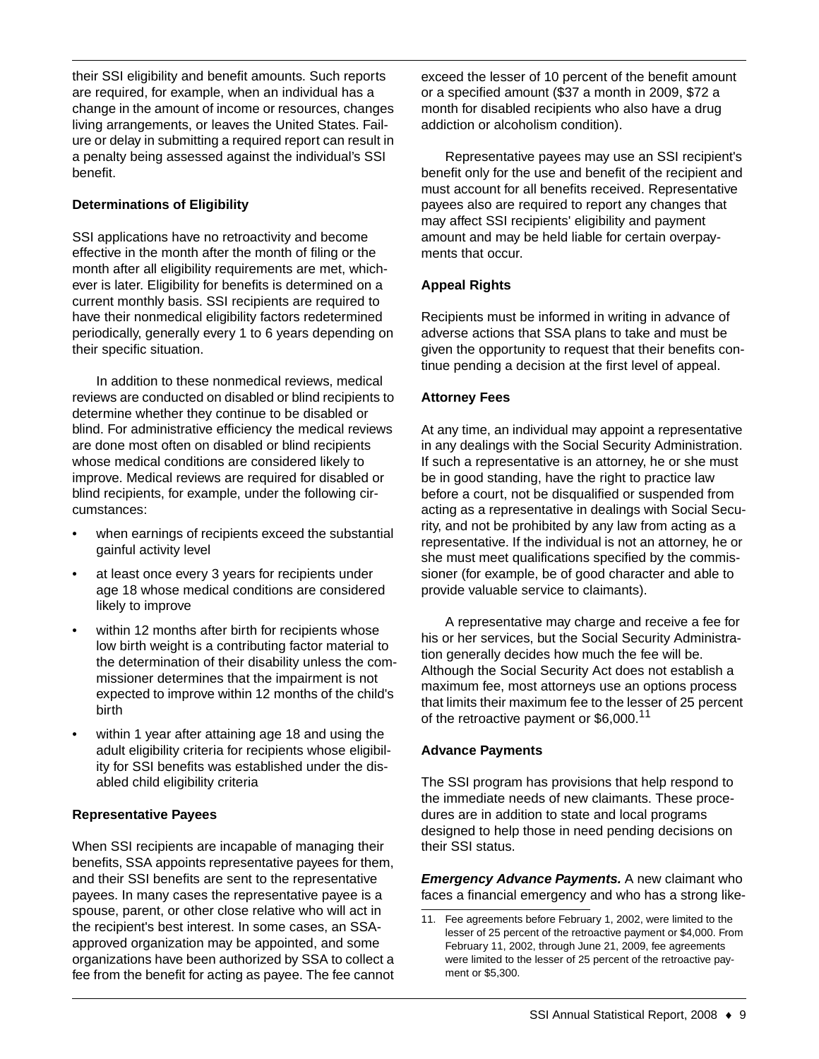their SSI eligibility and benefit amounts. Such reports are required, for example, when an individual has a change in the amount of income or resources, changes living arrangements, or leaves the United States. Failure or delay in submitting a required report can result in a penalty being assessed against the individual's SSI benefit.

### **Determinations of Eligibility**

SSI applications have no retroactivity and become effective in the month after the month of filing or the month after all eligibility requirements are met, whichever is later. Eligibility for benefits is determined on a current monthly basis. SSI recipients are required to have their nonmedical eligibility factors redetermined periodically, generally every 1 to 6 years depending on their specific situation.

In addition to these nonmedical reviews, medical reviews are conducted on disabled or blind recipients to determine whether they continue to be disabled or blind. For administrative efficiency the medical reviews are done most often on disabled or blind recipients whose medical conditions are considered likely to improve. Medical reviews are required for disabled or blind recipients, for example, under the following circumstances:

- when earnings of recipients exceed the substantial gainful activity level
- at least once every 3 years for recipients under age 18 whose medical conditions are considered likely to improve
- within 12 months after birth for recipients whose low birth weight is a contributing factor material to the determination of their disability unless the commissioner determines that the impairment is not expected to improve within 12 months of the child's birth
- within 1 year after attaining age 18 and using the adult eligibility criteria for recipients whose eligibility for SSI benefits was established under the disabled child eligibility criteria

### **Representative Payees**

When SSI recipients are incapable of managing their benefits, SSA appoints representative payees for them, and their SSI benefits are sent to the representative payees. In many cases the representative payee is a spouse, parent, or other close relative who will act in the recipient's best interest. In some cases, an SSAapproved organization may be appointed, and some organizations have been authorized by SSA to collect a fee from the benefit for acting as payee. The fee cannot exceed the lesser of 10 percent of the benefit amount or a specified amount (\$37 a month in 2009, \$72 a month for disabled recipients who also have a drug addiction or alcoholism condition).

Representative payees may use an SSI recipient's benefit only for the use and benefit of the recipient and must account for all benefits received. Representative payees also are required to report any changes that may affect SSI recipients' eligibility and payment amount and may be held liable for certain overpayments that occur.

### **Appeal Rights**

Recipients must be informed in writing in advance of adverse actions that SSA plans to take and must be given the opportunity to request that their benefits continue pending a decision at the first level of appeal.

### **Attorney Fees**

At any time, an individual may appoint a representative in any dealings with the Social Security Administration. If such a representative is an attorney, he or she must be in good standing, have the right to practice law before a court, not be disqualified or suspended from acting as a representative in dealings with Social Security, and not be prohibited by any law from acting as a representative. If the individual is not an attorney, he or she must meet qualifications specified by the commissioner (for example, be of good character and able to provide valuable service to claimants).

A representative may charge and receive a fee for his or her services, but the Social Security Administration generally decides how much the fee will be. Although the Social Security Act does not establish a maximum fee, most attorneys use an options process that limits their maximum fee to the lesser of 25 percent of the retroactive payment or \$6,000.<sup>11</sup>

# **Advance Payments**

The SSI program has provisions that help respond to the immediate needs of new claimants. These procedures are in addition to state and local programs designed to help those in need pending decisions on their SSI status.

*Emergency Advance Payments.* A new claimant who faces a financial emergency and who has a strong like-

<sup>11.</sup> Fee agreements before February 1, 2002, were limited to the lesser of 25 percent of the retroactive payment or \$4,000. From February 11, 2002, through June 21, 2009, fee agreements were limited to the lesser of 25 percent of the retroactive payment or \$5,300.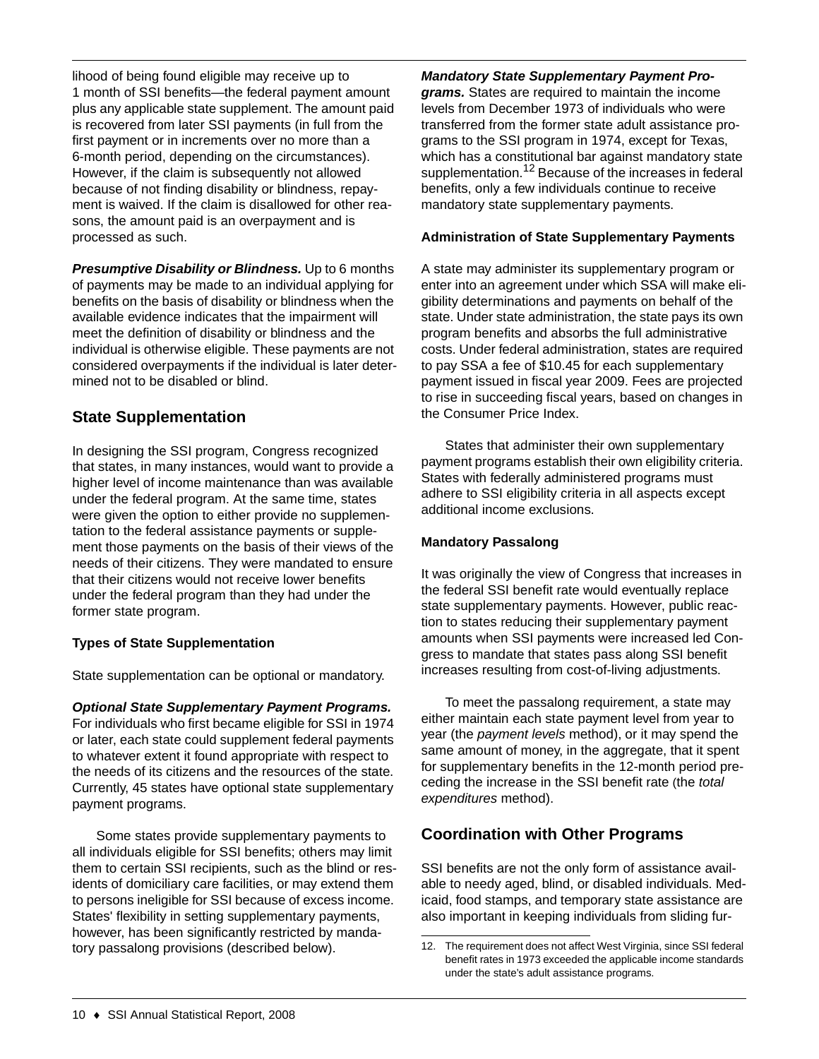lihood of being found eligible may receive up to 1 month of SSI benefits—the federal payment amount plus any applicable state supplement. The amount paid is recovered from later SSI payments (in full from the first payment or in increments over no more than a 6-month period, depending on the circumstances). However, if the claim is subsequently not allowed because of not finding disability or blindness, repayment is waived. If the claim is disallowed for other reasons, the amount paid is an overpayment and is processed as such.

*Presumptive Disability or Blindness.* Up to 6 months of payments may be made to an individual applying for benefits on the basis of disability or blindness when the available evidence indicates that the impairment will meet the definition of disability or blindness and the individual is otherwise eligible. These payments are not considered overpayments if the individual is later determined not to be disabled or blind.

# **State Supplementation**

In designing the SSI program, Congress recognized that states, in many instances, would want to provide a higher level of income maintenance than was available under the federal program. At the same time, states were given the option to either provide no supplementation to the federal assistance payments or supplement those payments on the basis of their views of the needs of their citizens. They were mandated to ensure that their citizens would not receive lower benefits under the federal program than they had under the former state program.

# **Types of State Supplementation**

State supplementation can be optional or mandatory.

# *Optional State Supplementary Payment Programs.*

For individuals who first became eligible for SSI in 1974 or later, each state could supplement federal payments to whatever extent it found appropriate with respect to the needs of its citizens and the resources of the state. Currently, 45 states have optional state supplementary payment programs.

Some states provide supplementary payments to all individuals eligible for SSI benefits; others may limit them to certain SSI recipients, such as the blind or residents of domiciliary care facilities, or may extend them to persons ineligible for SSI because of excess income. States' flexibility in setting supplementary payments, however, has been significantly restricted by mandatory passalong provisions (described below).

### *Mandatory State Supplementary Payment Pro-*

*grams.* States are required to maintain the income levels from December 1973 of individuals who were transferred from the former state adult assistance programs to the SSI program in 1974, except for Texas, which has a constitutional bar against mandatory state supplementation.<sup>12</sup> Because of the increases in federal benefits, only a few individuals continue to receive mandatory state supplementary payments.

### **Administration of State Supplementary Payments**

A state may administer its supplementary program or enter into an agreement under which SSA will make eligibility determinations and payments on behalf of the state. Under state administration, the state pays its own program benefits and absorbs the full administrative costs. Under federal administration, states are required to pay SSA a fee of \$10.45 for each supplementary payment issued in fiscal year 2009. Fees are projected to rise in succeeding fiscal years, based on changes in the Consumer Price Index.

States that administer their own supplementary payment programs establish their own eligibility criteria. States with federally administered programs must adhere to SSI eligibility criteria in all aspects except additional income exclusions.

# **Mandatory Passalong**

It was originally the view of Congress that increases in the federal SSI benefit rate would eventually replace state supplementary payments. However, public reaction to states reducing their supplementary payment amounts when SSI payments were increased led Congress to mandate that states pass along SSI benefit increases resulting from cost-of-living adjustments.

To meet the passalong requirement, a state may either maintain each state payment level from year to year (the *payment levels* method), or it may spend the same amount of money, in the aggregate, that it spent for supplementary benefits in the 12-month period preceding the increase in the SSI benefit rate (the *total expenditures* method).

# **Coordination with Other Programs**

SSI benefits are not the only form of assistance available to needy aged, blind, or disabled individuals. Medicaid, food stamps, and temporary state assistance are also important in keeping individuals from sliding fur-

<sup>12.</sup> The requirement does not affect West Virginia, since SSI federal benefit rates in 1973 exceeded the applicable income standards under the state's adult assistance programs.